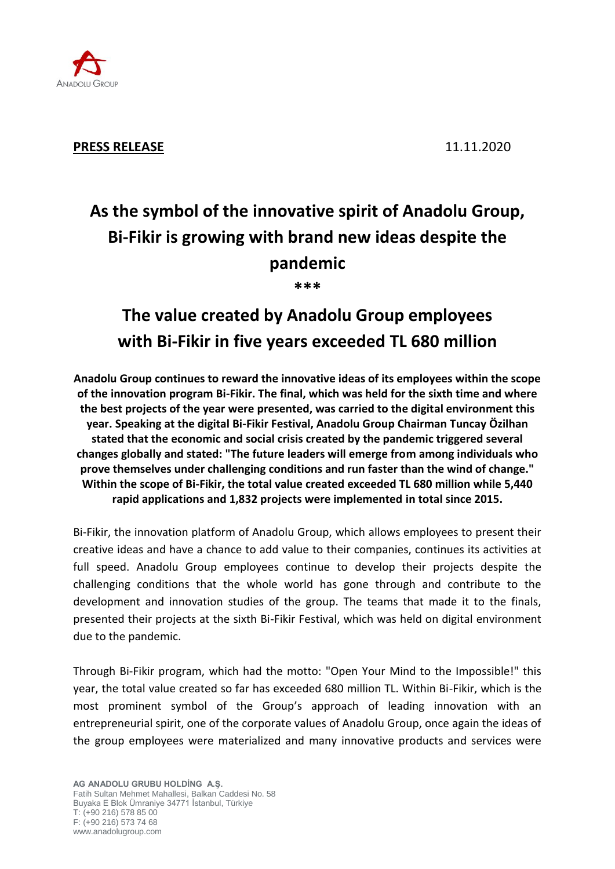

# **As the symbol of the innovative spirit of Anadolu Group, Bi-Fikir is growing with brand new ideas despite the pandemic**

**\*\*\***

## **The value created by Anadolu Group employees with Bi-Fikir in five years exceeded TL 680 million**

**Anadolu Group continues to reward the innovative ideas of its employees within the scope of the innovation program Bi-Fikir. The final, which was held for the sixth time and where the best projects of the year were presented, was carried to the digital environment this year. Speaking at the digital Bi-Fikir Festival, Anadolu Group Chairman Tuncay Özilhan stated that the economic and social crisis created by the pandemic triggered several changes globally and stated: "The future leaders will emerge from among individuals who prove themselves under challenging conditions and run faster than the wind of change." Within the scope of Bi-Fikir, the total value created exceeded TL 680 million while 5,440 rapid applications and 1,832 projects were implemented in total since 2015.**

Bi-Fikir, the innovation platform of Anadolu Group, which allows employees to present their creative ideas and have a chance to add value to their companies, continues its activities at full speed. Anadolu Group employees continue to develop their projects despite the challenging conditions that the whole world has gone through and contribute to the development and innovation studies of the group. The teams that made it to the finals, presented their projects at the sixth Bi-Fikir Festival, which was held on digital environment due to the pandemic.

Through Bi-Fikir program, which had the motto: "Open Your Mind to the Impossible!" this year, the total value created so far has exceeded 680 million TL. Within Bi-Fikir, which is the most prominent symbol of the Group's approach of leading innovation with an entrepreneurial spirit, one of the corporate values of Anadolu Group, once again the ideas of the group employees were materialized and many innovative products and services were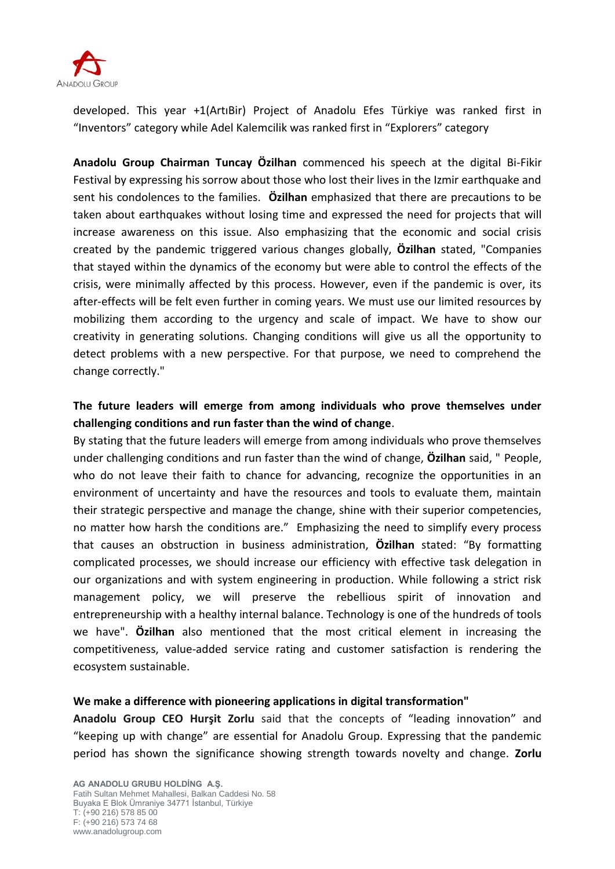

developed. This year +1(ArtıBir) Project of Anadolu Efes Türkiye was ranked first in "Inventors" category while Adel Kalemcilik was ranked first in "Explorers" category

**Anadolu Group Chairman Tuncay Özilhan** commenced his speech at the digital Bi-Fikir Festival by expressing his sorrow about those who lost their lives in the Izmir earthquake and sent his condolences to the families. **Özilhan** emphasized that there are precautions to be taken about earthquakes without losing time and expressed the need for projects that will increase awareness on this issue. Also emphasizing that the economic and social crisis created by the pandemic triggered various changes globally, **Özilhan** stated, "Companies that stayed within the dynamics of the economy but were able to control the effects of the crisis, were minimally affected by this process. However, even if the pandemic is over, its after-effects will be felt even further in coming years. We must use our limited resources by mobilizing them according to the urgency and scale of impact. We have to show our creativity in generating solutions. Changing conditions will give us all the opportunity to detect problems with a new perspective. For that purpose, we need to comprehend the change correctly."

### **The future leaders will emerge from among individuals who prove themselves under challenging conditions and run faster than the wind of change**.

By stating that the future leaders will emerge from among individuals who prove themselves under challenging conditions and run faster than the wind of change, **Özilhan** said, " People, who do not leave their faith to chance for advancing, recognize the opportunities in an environment of uncertainty and have the resources and tools to evaluate them, maintain their strategic perspective and manage the change, shine with their superior competencies, no matter how harsh the conditions are." Emphasizing the need to simplify every process that causes an obstruction in business administration, **Özilhan** stated: "By formatting complicated processes, we should increase our efficiency with effective task delegation in our organizations and with system engineering in production. While following a strict risk management policy, we will preserve the rebellious spirit of innovation and entrepreneurship with a healthy internal balance. Technology is one of the hundreds of tools we have". **Özilhan** also mentioned that the most critical element in increasing the competitiveness, value-added service rating and customer satisfaction is rendering the ecosystem sustainable.

#### **We make a difference with pioneering applications in digital transformation"**

**Anadolu Group CEO Hurşit Zorlu** said that the concepts of "leading innovation" and "keeping up with change" are essential for Anadolu Group. Expressing that the pandemic period has shown the significance showing strength towards novelty and change. **Zorlu**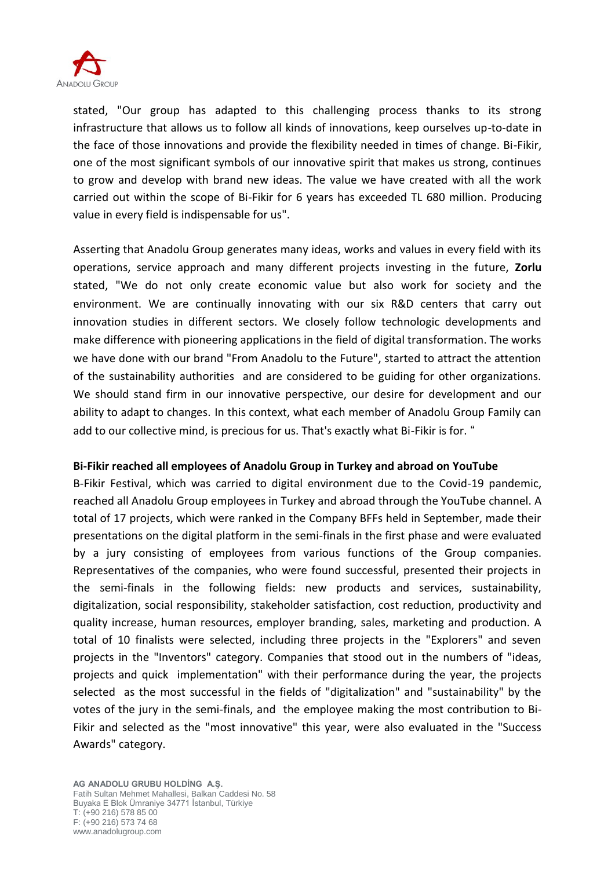

stated, "Our group has adapted to this challenging process thanks to its strong infrastructure that allows us to follow all kinds of innovations, keep ourselves up-to-date in the face of those innovations and provide the flexibility needed in times of change. Bi-Fikir, one of the most significant symbols of our innovative spirit that makes us strong, continues to grow and develop with brand new ideas. The value we have created with all the work carried out within the scope of Bi-Fikir for 6 years has exceeded TL 680 million. Producing value in every field is indispensable for us".

Asserting that Anadolu Group generates many ideas, works and values in every field with its operations, service approach and many different projects investing in the future, **Zorlu** stated, "We do not only create economic value but also work for society and the environment. We are continually innovating with our six R&D centers that carry out innovation studies in different sectors. We closely follow technologic developments and make difference with pioneering applications in the field of digital transformation. The works we have done with our brand "From Anadolu to the Future", started to attract the attention of the sustainability authorities and are considered to be guiding for other organizations. We should stand firm in our innovative perspective, our desire for development and our ability to adapt to changes. In this context, what each member of Anadolu Group Family can add to our collective mind, is precious for us. That's exactly what Bi-Fikir is for. "

#### **Bi-Fikir reached all employees of Anadolu Group in Turkey and abroad on YouTube**

B-Fikir Festival, which was carried to digital environment due to the Covid-19 pandemic, reached all Anadolu Group employees in Turkey and abroad through the YouTube channel. A total of 17 projects, which were ranked in the Company BFFs held in September, made their presentations on the digital platform in the semi-finals in the first phase and were evaluated by a jury consisting of employees from various functions of the Group companies. Representatives of the companies, who were found successful, presented their projects in the semi-finals in the following fields: new products and services, sustainability, digitalization, social responsibility, stakeholder satisfaction, cost reduction, productivity and quality increase, human resources, employer branding, sales, marketing and production. A total of 10 finalists were selected, including three projects in the "Explorers" and seven projects in the "Inventors" category. Companies that stood out in the numbers of "ideas, projects and quick implementation" with their performance during the year, the projects selected as the most successful in the fields of "digitalization" and "sustainability" by the votes of the jury in the semi-finals, and the employee making the most contribution to Bi-Fikir and selected as the "most innovative" this year, were also evaluated in the "Success Awards" category.